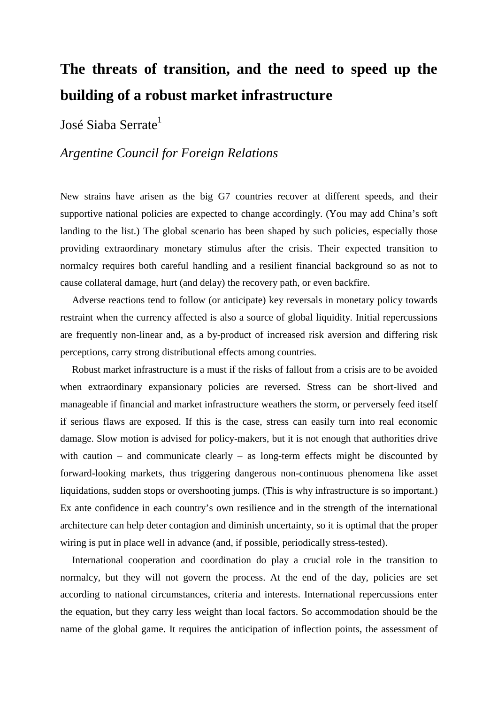# **The threats of transition, and the need to speed up the building of a robust market infrastructure**

José Siaba Serrate<sup>1</sup>

# *Argentine Council for Foreign Relations*

New strains have arisen as the big G7 countries recover at different speeds, and their supportive national policies are expected to change accordingly. (You may add China's soft landing to the list.) The global scenario has been shaped by such policies, especially those providing extraordinary monetary stimulus after the crisis. Their expected transition to normalcy requires both careful handling and a resilient financial background so as not to cause collateral damage, hurt (and delay) the recovery path, or even backfire.

Adverse reactions tend to follow (or anticipate) key reversals in monetary policy towards restraint when the currency affected is also a source of global liquidity. Initial repercussions are frequently non-linear and, as a by-product of increased risk aversion and differing risk perceptions, carry strong distributional effects among countries.

Robust market infrastructure is a must if the risks of fallout from a crisis are to be avoided when extraordinary expansionary policies are reversed. Stress can be short-lived and manageable if financial and market infrastructure weathers the storm, or perversely feed itself if serious flaws are exposed. If this is the case, stress can easily turn into real economic damage. Slow motion is advised for policy-makers, but it is not enough that authorities drive with caution – and communicate clearly – as long-term effects might be discounted by forward-looking markets, thus triggering dangerous non-continuous phenomena like asset liquidations, sudden stops or overshooting jumps. (This is why infrastructure is so important.) Ex ante confidence in each country's own resilience and in the strength of the international architecture can help deter contagion and diminish uncertainty, so it is optimal that the proper wiring is put in place well in advance (and, if possible, periodically stress-tested).

International cooperation and coordination do play a crucial role in the transition to normalcy, but they will not govern the process. At the end of the day, policies are set according to national circumstances, criteria and interests. International repercussions enter the equation, but they carry less weight than local factors. So accommodation should be the name of the global game. It requires the anticipation of inflection points, the assessment of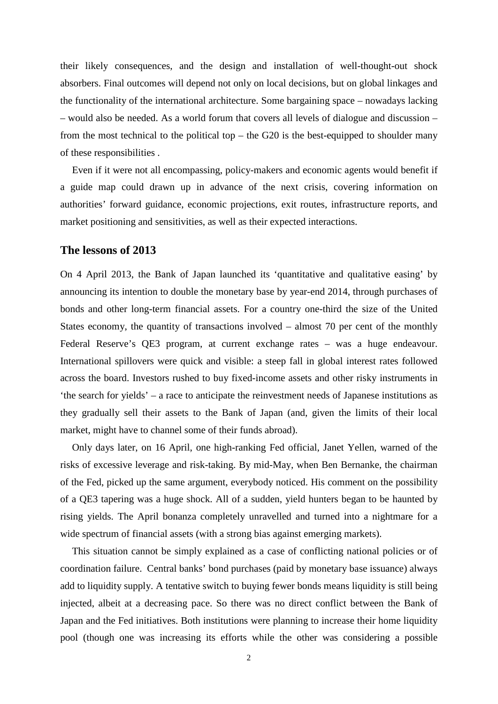their likely consequences, and the design and installation of well-thought-out shock absorbers. Final outcomes will depend not only on local decisions, but on global linkages and the functionality of the international architecture. Some bargaining space – nowadays lacking – would also be needed. As a world forum that covers all levels of dialogue and discussion – from the most technical to the political top – the G20 is the best-equipped to shoulder many of these responsibilities .

Even if it were not all encompassing, policy-makers and economic agents would benefit if a guide map could drawn up in advance of the next crisis, covering information on authorities' forward guidance, economic projections, exit routes, infrastructure reports, and market positioning and sensitivities, as well as their expected interactions.

#### **The lessons of 2013**

On 4 April 2013, the Bank of Japan launched its 'quantitative and qualitative easing' by announcing its intention to double the monetary base by year-end 2014, through purchases of bonds and other long-term financial assets. For a country one-third the size of the United States economy, the quantity of transactions involved – almost 70 per cent of the monthly Federal Reserve's QE3 program, at current exchange rates – was a huge endeavour. International spillovers were quick and visible: a steep fall in global interest rates followed across the board. Investors rushed to buy fixed-income assets and other risky instruments in 'the search for yields' – a race to anticipate the reinvestment needs of Japanese institutions as they gradually sell their assets to the Bank of Japan (and, given the limits of their local market, might have to channel some of their funds abroad).

Only days later, on 16 April, one high-ranking Fed official, Janet Yellen, warned of the risks of excessive leverage and risk-taking. By mid-May, when Ben Bernanke, the chairman of the Fed, picked up the same argument, everybody noticed. His comment on the possibility of a QE3 tapering was a huge shock. All of a sudden, yield hunters began to be haunted by rising yields. The April bonanza completely unravelled and turned into a nightmare for a wide spectrum of financial assets (with a strong bias against emerging markets).

This situation cannot be simply explained as a case of conflicting national policies or of coordination failure. Central banks' bond purchases (paid by monetary base issuance) always add to liquidity supply. A tentative switch to buying fewer bonds means liquidity is still being injected, albeit at a decreasing pace. So there was no direct conflict between the Bank of Japan and the Fed initiatives. Both institutions were planning to increase their home liquidity pool (though one was increasing its efforts while the other was considering a possible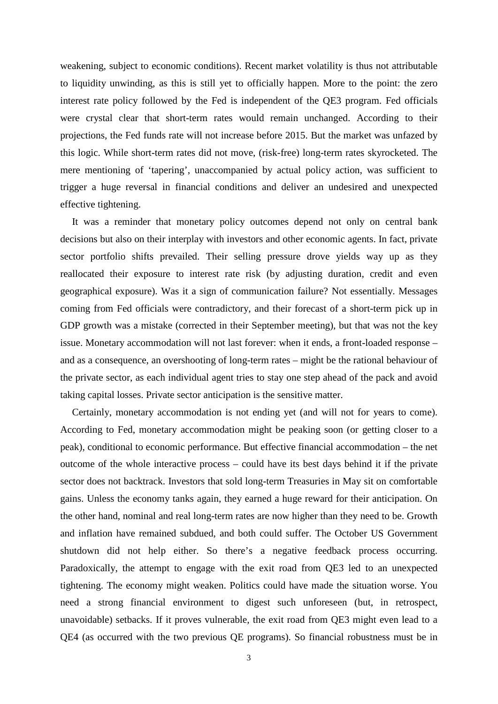weakening, subject to economic conditions). Recent market volatility is thus not attributable to liquidity unwinding, as this is still yet to officially happen. More to the point: the zero interest rate policy followed by the Fed is independent of the QE3 program. Fed officials were crystal clear that short-term rates would remain unchanged. According to their projections, the Fed funds rate will not increase before 2015. But the market was unfazed by this logic. While short-term rates did not move, (risk-free) long-term rates skyrocketed. The mere mentioning of 'tapering', unaccompanied by actual policy action, was sufficient to trigger a huge reversal in financial conditions and deliver an undesired and unexpected effective tightening.

It was a reminder that monetary policy outcomes depend not only on central bank decisions but also on their interplay with investors and other economic agents. In fact, private sector portfolio shifts prevailed. Their selling pressure drove yields way up as they reallocated their exposure to interest rate risk (by adjusting duration, credit and even geographical exposure). Was it a sign of communication failure? Not essentially. Messages coming from Fed officials were contradictory, and their forecast of a short-term pick up in GDP growth was a mistake (corrected in their September meeting), but that was not the key issue. Monetary accommodation will not last forever: when it ends, a front-loaded response – and as a consequence, an overshooting of long-term rates – might be the rational behaviour of the private sector, as each individual agent tries to stay one step ahead of the pack and avoid taking capital losses. Private sector anticipation is the sensitive matter.

Certainly, monetary accommodation is not ending yet (and will not for years to come). According to Fed, monetary accommodation might be peaking soon (or getting closer to a peak), conditional to economic performance. But effective financial accommodation – the net outcome of the whole interactive process – could have its best days behind it if the private sector does not backtrack. Investors that sold long-term Treasuries in May sit on comfortable gains. Unless the economy tanks again, they earned a huge reward for their anticipation. On the other hand, nominal and real long-term rates are now higher than they need to be. Growth and inflation have remained subdued, and both could suffer. The October US Government shutdown did not help either. So there's a negative feedback process occurring. Paradoxically, the attempt to engage with the exit road from QE3 led to an unexpected tightening. The economy might weaken. Politics could have made the situation worse. You need a strong financial environment to digest such unforeseen (but, in retrospect, unavoidable) setbacks. If it proves vulnerable, the exit road from QE3 might even lead to a QE4 (as occurred with the two previous QE programs). So financial robustness must be in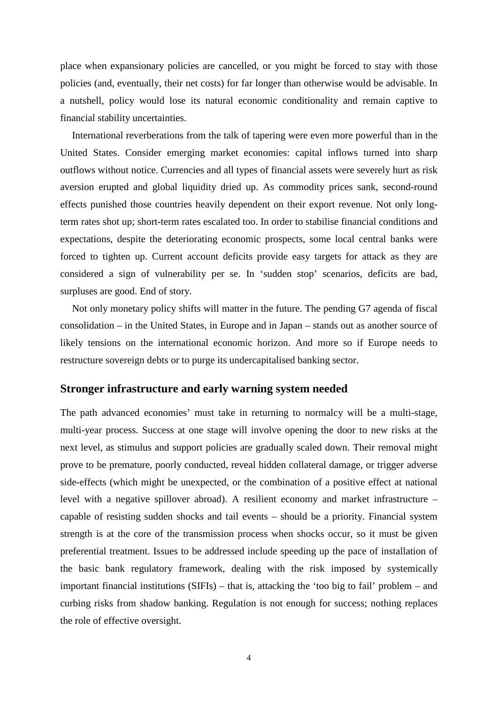place when expansionary policies are cancelled, or you might be forced to stay with those policies (and, eventually, their net costs) for far longer than otherwise would be advisable. In a nutshell, policy would lose its natural economic conditionality and remain captive to financial stability uncertainties.

International reverberations from the talk of tapering were even more powerful than in the United States. Consider emerging market economies: capital inflows turned into sharp outflows without notice. Currencies and all types of financial assets were severely hurt as risk aversion erupted and global liquidity dried up. As commodity prices sank, second-round effects punished those countries heavily dependent on their export revenue. Not only longterm rates shot up; short-term rates escalated too. In order to stabilise financial conditions and expectations, despite the deteriorating economic prospects, some local central banks were forced to tighten up. Current account deficits provide easy targets for attack as they are considered a sign of vulnerability per se. In 'sudden stop' scenarios, deficits are bad, surpluses are good. End of story.

Not only monetary policy shifts will matter in the future. The pending G7 agenda of fiscal consolidation – in the United States, in Europe and in Japan – stands out as another source of likely tensions on the international economic horizon. And more so if Europe needs to restructure sovereign debts or to purge its undercapitalised banking sector.

## **Stronger infrastructure and early warning system needed**

The path advanced economies' must take in returning to normalcy will be a multi-stage, multi-year process. Success at one stage will involve opening the door to new risks at the next level, as stimulus and support policies are gradually scaled down. Their removal might prove to be premature, poorly conducted, reveal hidden collateral damage, or trigger adverse side-effects (which might be unexpected, or the combination of a positive effect at national level with a negative spillover abroad). A resilient economy and market infrastructure – capable of resisting sudden shocks and tail events – should be a priority. Financial system strength is at the core of the transmission process when shocks occur, so it must be given preferential treatment. Issues to be addressed include speeding up the pace of installation of the basic bank regulatory framework, dealing with the risk imposed by systemically important financial institutions (SIFIs) – that is, attacking the 'too big to fail' problem – and curbing risks from shadow banking. Regulation is not enough for success; nothing replaces the role of effective oversight.